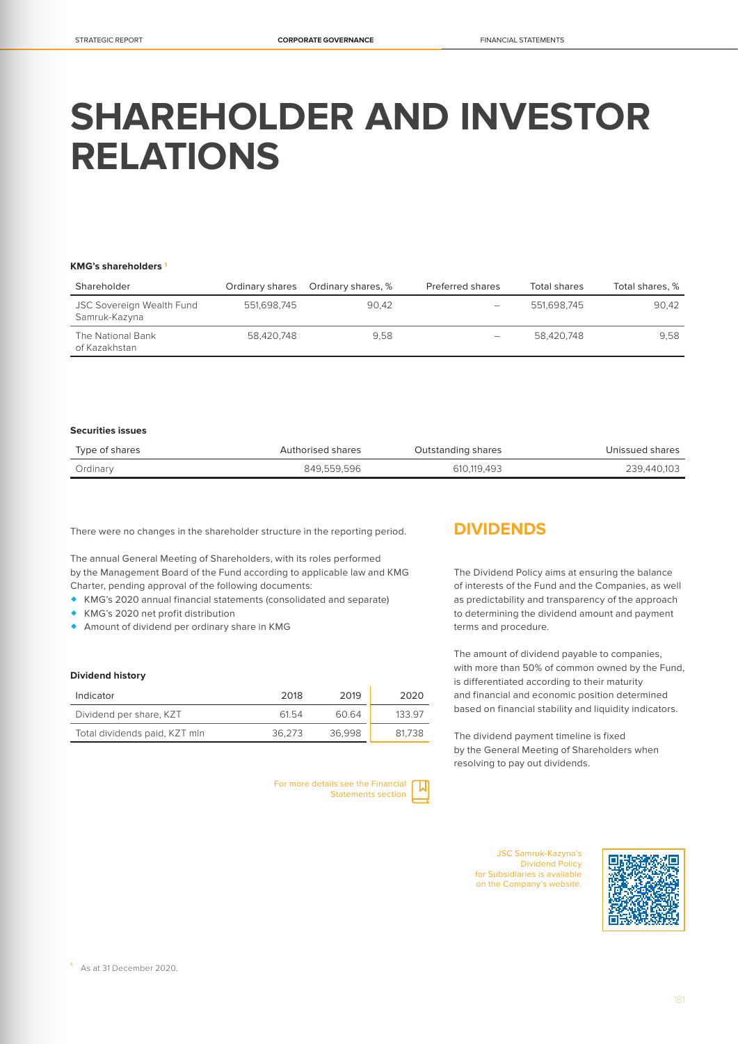# **SHAREHOLDER AND INVESTOR RELATIONS**

#### **KMG's shareholders 1**

| Shareholder                                |             | Ordinary shares Ordinary shares, % | Preferred shares | Total shares | Total shares, % |
|--------------------------------------------|-------------|------------------------------------|------------------|--------------|-----------------|
| JSC Sovereign Wealth Fund<br>Samruk-Kazyna | 551.698.745 | 90.42                              | -                | 551.698.745  | 90.42           |
| The National Bank<br>of Kazakhstan         | 58.420.748  | 9.58                               | -                | 58.420.748   | 9.58            |

## **Securities issues**

| Type of shares | Authorised shares | Outstanding shares | Unissued shares |
|----------------|-------------------|--------------------|-----------------|
| Ordinary       | 849.559.596       | 610.119.493        | 239.440.103     |

There were no changes in the shareholder structure in the reporting period.

The annual General Meeting of Shareholders, with its roles performed by the Management Board of the Fund according to applicable law and KMG Charter, pending approval of the following documents:

- KMG's 2020 annual financial statements (consolidated and separate)
- KMG's 2020 net profit distribution
- Amount of dividend per ordinary share in KMG

## **Dividend history**

| Indicator                     | 2018   | 2019   | 2020   |
|-------------------------------|--------|--------|--------|
| Dividend per share, KZT       | 6154   | 60.64  | 133 97 |
| Total dividends paid, KZT mln | 36.273 | 36.998 | 81.738 |

For more details see the Financial Statements section

# **DIVIDENDS**

The Dividend Policy aims at ensuring the balance of interests of the Fund and the Companies, as well as predictability and transparency of the approach to determining the dividend amount and payment terms and procedure.

The amount of dividend payable to companies, with more than 50% of common owned by the Fund, is differentiated according to their maturity and financial and economic position determined based on financial stability and liquidity indicators.

The dividend payment timeline is fixed by the General Meeting of Shareholders when resolving to pay out dividends.

> JSC Samruk-Kazyna's Dividend Policy for Subsidiaries is available on the Company's website.

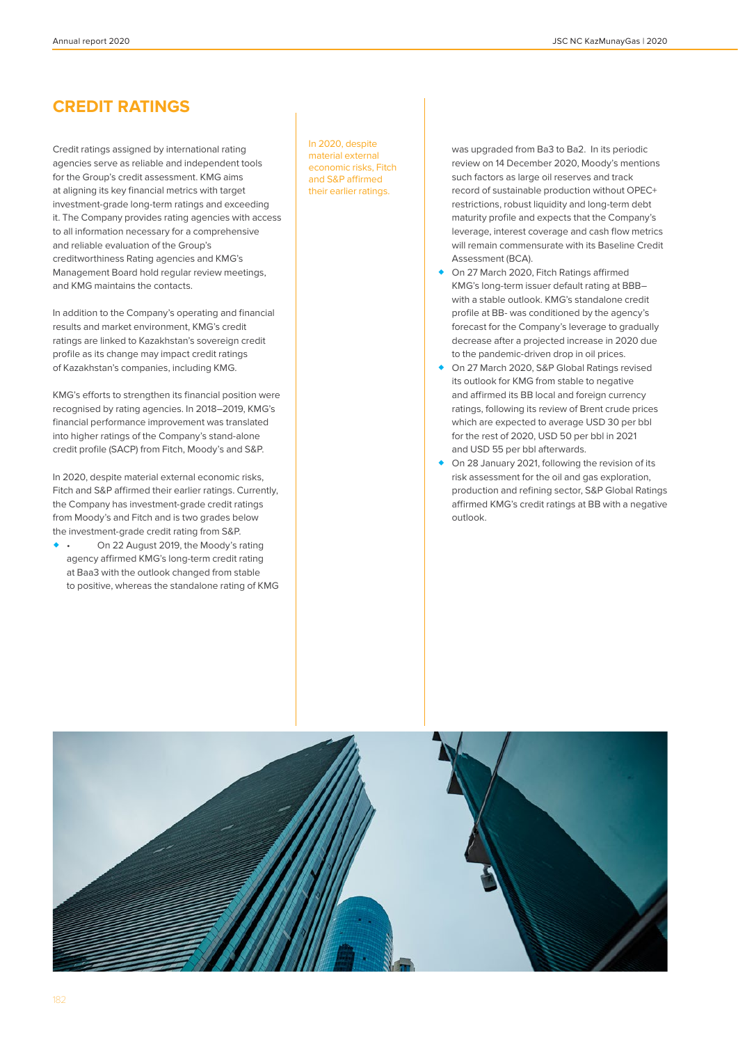# **CREDIT RATINGS**

Credit ratings assigned by international rating agencies serve as reliable and independent tools for the Group's credit assessment. KMG aims at aligning its key financial metrics with target investment-grade long-term ratings and exceeding it. The Company provides rating agencies with access to all information necessary for a comprehensive and reliable evaluation of the Group's creditworthiness Rating agencies and KMG's Management Board hold regular review meetings, and KMG maintains the contacts.

In addition to the Company's operating and financial results and market environment, KMG's credit ratings are linked to Kazakhstan's sovereign credit profile as its change may impact credit ratings of Kazakhstan's companies, including KMG.

KMG's efforts to strengthen its financial position were recognised by rating agencies. In 2018–2019, KMG's financial performance improvement was translated into higher ratings of the Company's stand-alone credit profile (SACP) from Fitch, Moody's and S&P.

In 2020, despite material external economic risks, Fitch and S&P affirmed their earlier ratings. Currently, the Company has investment-grade credit ratings from Moody's and Fitch and is two grades below the investment-grade credit rating from S&P.

 • On 22 August 2019, the Moody's rating agency affirmed KMG's long-term credit rating at Baa3 with the outlook changed from stable to positive, whereas the standalone rating of KMG In 2020, despite material external economic risks, Fitch and S&P affirmed their earlier ratings.

was upgraded from Ba3 to Ba2. In its periodic review on 14 December 2020, Moody's mentions such factors as large oil reserves and track record of sustainable production without OPEC+ restrictions, robust liquidity and long-term debt maturity profile and expects that the Company's leverage, interest coverage and cash flow metrics will remain commensurate with its Baseline Credit Assessment (BCA).

- On 27 March 2020, Fitch Ratings affirmed KMG's long-term issuer default rating at BBB– with a stable outlook. KMG's standalone credit profile at BB- was conditioned by the agency's forecast for the Company's leverage to gradually decrease after a projected increase in 2020 due to the pandemic-driven drop in oil prices.
- On 27 March 2020, S&P Global Ratings revised its outlook for KMG from stable to negative and affirmed its BB local and foreign currency ratings, following its review of Brent crude prices which are expected to average USD 30 per bbl for the rest of 2020, USD 50 per bbl in 2021 and USD 55 per bbl afterwards.
- ◆ On 28 January 2021, following the revision of its risk assessment for the oil and gas exploration, production and refining sector, S&P Global Ratings affirmed KMG's credit ratings at BB with a negative outlook.

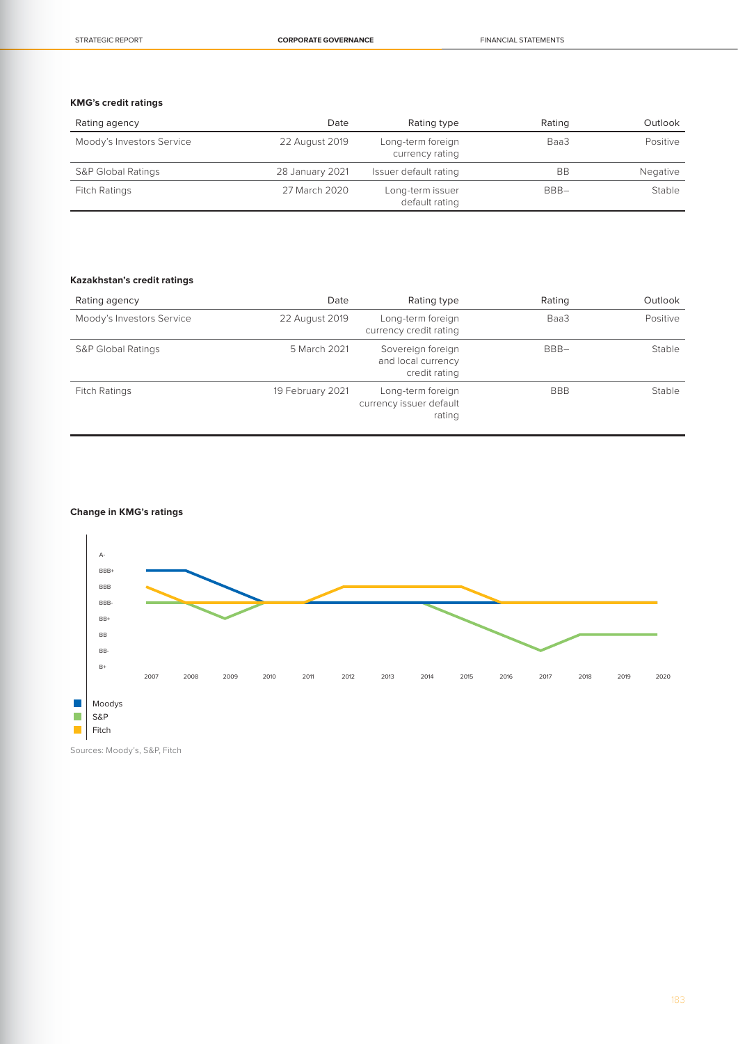## **KMG's credit ratings**

| Rating agency                 | Date            | Rating type                          | Rating  | Outlook  |
|-------------------------------|-----------------|--------------------------------------|---------|----------|
| Moody's Investors Service     | 22 August 2019  | Long-term foreign<br>currency rating | Baa3    | Positive |
| <b>S&amp;P Global Ratings</b> | 28 January 2021 | Issuer default rating                | BB      | Negative |
| Fitch Ratings                 | 27 March 2020   | Long-term issuer<br>default rating   | $BBB -$ | Stable   |

## **Kazakhstan's credit ratings**

| Rating agency                 | Date             | Rating type                                              | Rating     | Outlook  |
|-------------------------------|------------------|----------------------------------------------------------|------------|----------|
| Moody's Investors Service     | 22 August 2019   | Long-term foreign<br>currency credit rating              | Baa3       | Positive |
| <b>S&amp;P Global Ratings</b> | 5 March 2021     | Sovereign foreign<br>and local currency<br>credit rating | $BBB -$    | Stable   |
| <b>Fitch Ratings</b>          | 19 February 2021 | Long-term foreign<br>currency issuer default<br>rating   | <b>BBB</b> | Stable   |

## **Change in KMG's ratings**



Sources: Moody's, S&P, Fitch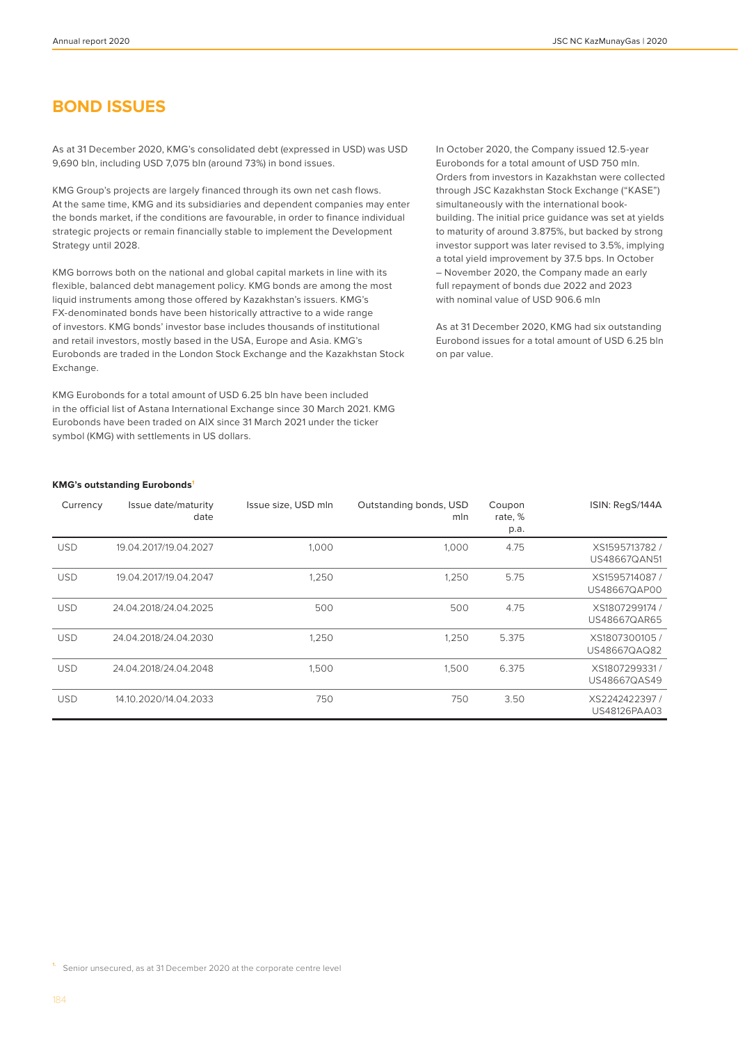# **BOND ISSUES**

As at 31 December 2020, KMG's consolidated debt (expressed in USD) was USD 9,690 bln, including USD 7,075 bln (around 73%) in bond issues.

KMG Group's projects are largely financed through its own net cash flows. At the same time, KMG and its subsidiaries and dependent companies may enter the bonds market, if the conditions are favourable, in order to finance individual strategic projects or remain financially stable to implement the Development Strategy until 2028.

KMG borrows both on the national and global capital markets in line with its flexible, balanced debt management policy. KMG bonds are among the most liquid instruments among those offered by Kazakhstan's issuers. KMG's FX-denominated bonds have been historically attractive to a wide range of investors. KMG bonds' investor base includes thousands of institutional and retail investors, mostly based in the USA, Europe and Asia. KMG's Eurobonds are traded in the London Stock Exchange and the Kazakhstan Stock Exchange.

KMG Eurobonds for a total amount of USD 6.25 bln have been included in the official list of Astana International Exchange since 30 March 2021. KMG Eurobonds have been traded on AIX since 31 March 2021 under the ticker symbol (KMG) with settlements in US dollars.

In October 2020, the Company issued 12.5-year Eurobonds for a total amount of USD 750 mln. Orders from investors in Kazakhstan were collected through JSC Kazakhstan Stock Exchange ("KASE") simultaneously with the international bookbuilding. The initial price guidance was set at yields to maturity of around 3.875%, but backed by strong investor support was later revised to 3.5%, implying a total yield improvement by 37.5 bps. In October – November 2020, the Company made an early full repayment of bonds due 2022 and 2023 with nominal value of USD 906.6 mln

As at 31 December 2020, KMG had six outstanding Eurobond issues for a total amount of USD 6.25 bln on par value.

#### **KMG's outstanding Eurobonds1**

| Currency   | Issue date/maturity<br>date | Issue size, USD mln | Outstanding bonds, USD<br>mln | Coupon<br>rate, %<br>p.a. | ISIN: RegS/144A                |
|------------|-----------------------------|---------------------|-------------------------------|---------------------------|--------------------------------|
| <b>USD</b> | 19.04.2017/19.04.2027       | 1,000               | 1,000                         | 4.75                      | XS1595713782 /<br>US48667QAN51 |
| <b>USD</b> | 19.04.2017/19.04.2047       | 1,250               | 1,250                         | 5.75                      | XS1595714087/<br>US48667QAP00  |
| <b>USD</b> | 24.04.2018/24.04.2025       | 500                 | 500                           | 4.75                      | XS1807299174 /<br>US48667QAR65 |
| <b>USD</b> | 24.04.2018/24.04.2030       | 1,250               | 1,250                         | 5.375                     | XS1807300105/<br>US48667QAQ82  |
| <b>USD</b> | 24.04.2018/24.04.2048       | 1,500               | 1,500                         | 6.375                     | XS1807299331/<br>US48667QAS49  |
| <b>USD</b> | 14.10.2020/14.04.2033       | 750                 | 750                           | 3.50                      | XS2242422397/<br>US48126PAA03  |

**1.** Senior unsecured, as at 31 December 2020 at the corporate centre level